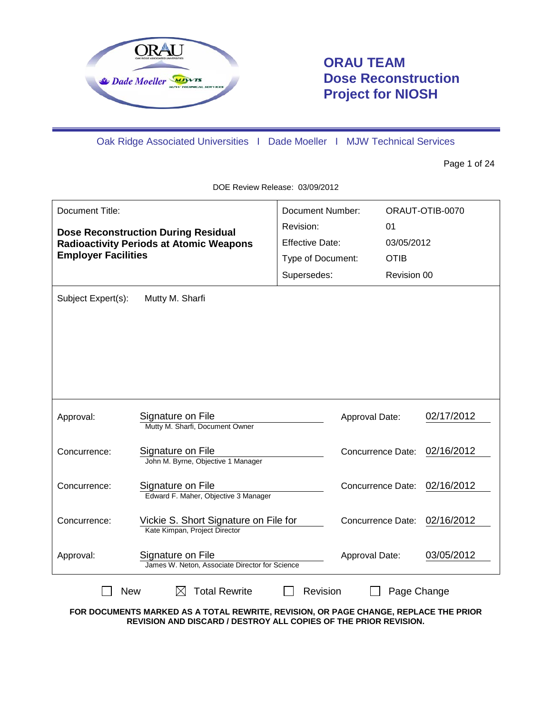

# **ORAU TEAM Dose Reconstruction Project for NIOSH**

Oak Ridge Associated Universities I Dade Moeller I MJW Technical Services

Page 1 of 24

DOE Review Release: 03/09/2012

| Document Title:                            |                                                                      | <b>Document Number:</b> |                          |             | ORAUT-OTIB-0070 |
|--------------------------------------------|----------------------------------------------------------------------|-------------------------|--------------------------|-------------|-----------------|
| <b>Dose Reconstruction During Residual</b> |                                                                      | Revision:               |                          | 01          |                 |
|                                            | <b>Radioactivity Periods at Atomic Weapons</b>                       | <b>Effective Date:</b>  |                          | 03/05/2012  |                 |
| <b>Employer Facilities</b>                 |                                                                      | Type of Document:       |                          | <b>OTIB</b> |                 |
|                                            |                                                                      | Supersedes:             |                          | Revision 00 |                 |
| Subject Expert(s):                         | Mutty M. Sharfi                                                      |                         |                          |             |                 |
|                                            |                                                                      |                         |                          |             |                 |
|                                            |                                                                      |                         |                          |             |                 |
|                                            |                                                                      |                         |                          |             |                 |
|                                            |                                                                      |                         |                          |             |                 |
|                                            |                                                                      |                         |                          |             |                 |
|                                            |                                                                      |                         |                          |             |                 |
| Approval:                                  | Signature on File                                                    |                         | Approval Date:           |             | 02/17/2012      |
|                                            | Mutty M. Sharfi, Document Owner                                      |                         |                          |             |                 |
| Concurrence:                               | Signature on File                                                    |                         | <b>Concurrence Date:</b> |             | 02/16/2012      |
|                                            | John M. Byrne, Objective 1 Manager                                   |                         |                          |             |                 |
| Concurrence:                               | Signature on File                                                    |                         | Concurrence Date:        |             | 02/16/2012      |
|                                            | Edward F. Maher, Objective 3 Manager                                 |                         |                          |             |                 |
| Concurrence:                               | Vickie S. Short Signature on File for                                |                         | Concurrence Date:        |             | 02/16/2012      |
|                                            | Kate Kimpan, Project Director                                        |                         |                          |             |                 |
| Approval:                                  | Signature on File                                                    |                         | Approval Date:           |             | 03/05/2012      |
|                                            | James W. Neton, Associate Director for Science                       |                         |                          |             |                 |
|                                            | <b>Total Rewrite</b><br>Revision<br><b>New</b><br>Page Change<br>IХI |                         |                          |             |                 |

**FOR DOCUMENTS MARKED AS A TOTAL REWRITE, REVISION, OR PAGE CHANGE, REPLACE THE PRIOR REVISION AND DISCARD / DESTROY ALL COPIES OF THE PRIOR REVISION.**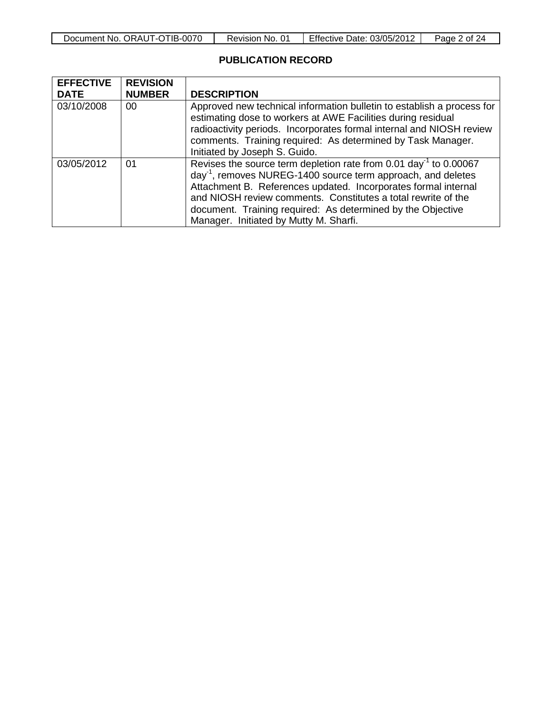| Document No. ORAUT-OTIB-0070 | Revision No. 01 | Effective Date: 03/05/2012 | Page 2 of 24 |
|------------------------------|-----------------|----------------------------|--------------|
|------------------------------|-----------------|----------------------------|--------------|

### **PUBLICATION RECORD**

| <b>EFFECTIVE</b><br><b>DATE</b> | <b>REVISION</b><br><b>NUMBER</b> | <b>DESCRIPTION</b>                                                                                                                                                                                                                                                                                                                                                                                    |
|---------------------------------|----------------------------------|-------------------------------------------------------------------------------------------------------------------------------------------------------------------------------------------------------------------------------------------------------------------------------------------------------------------------------------------------------------------------------------------------------|
| 03/10/2008                      | 00                               | Approved new technical information bulletin to establish a process for<br>estimating dose to workers at AWE Facilities during residual<br>radioactivity periods. Incorporates formal internal and NIOSH review<br>comments. Training required: As determined by Task Manager.<br>Initiated by Joseph S. Guido.                                                                                        |
| 03/05/2012                      | 01                               | Revises the source term depletion rate from 0.01 day <sup>-1</sup> to 0.00067<br>day <sup>-1</sup> , removes NUREG-1400 source term approach, and deletes<br>Attachment B. References updated. Incorporates formal internal<br>and NIOSH review comments. Constitutes a total rewrite of the<br>document. Training required: As determined by the Objective<br>Manager. Initiated by Mutty M. Sharfi. |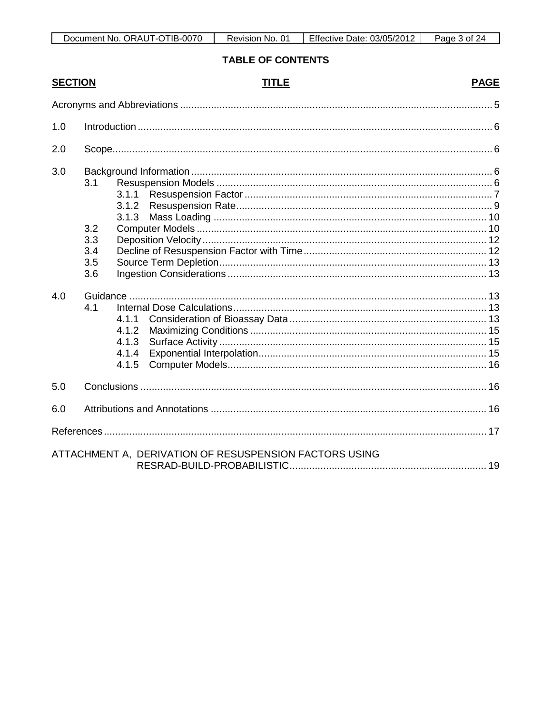| Document No. ORAUT-OTIB-0070 | Revision No. | Effective Date: 03/05/2012 | 3 of<br>Page <sup>-</sup> |
|------------------------------|--------------|----------------------------|---------------------------|

# **TABLE OF CONTENTS**

| <b>SECTION</b> |                                        | <b>TITLE</b>                                           | <b>PAGE</b> |
|----------------|----------------------------------------|--------------------------------------------------------|-------------|
|                |                                        |                                                        |             |
| 1.0            |                                        |                                                        |             |
| 2.0            |                                        |                                                        |             |
| 3.0            | 3.1<br>3.2<br>3.3<br>3.4<br>3.5<br>3.6 | 3.1.1<br>3.1.2<br>3.1.3                                |             |
| 4.0            | 4.1                                    | 4.1.1<br>4.1.2<br>4.1.3<br>4.1.4<br>4.1.5              |             |
| 5.0            |                                        |                                                        |             |
| 6.0            |                                        |                                                        |             |
|                |                                        |                                                        |             |
|                |                                        | ATTACHMENT A, DERIVATION OF RESUSPENSION FACTORS USING |             |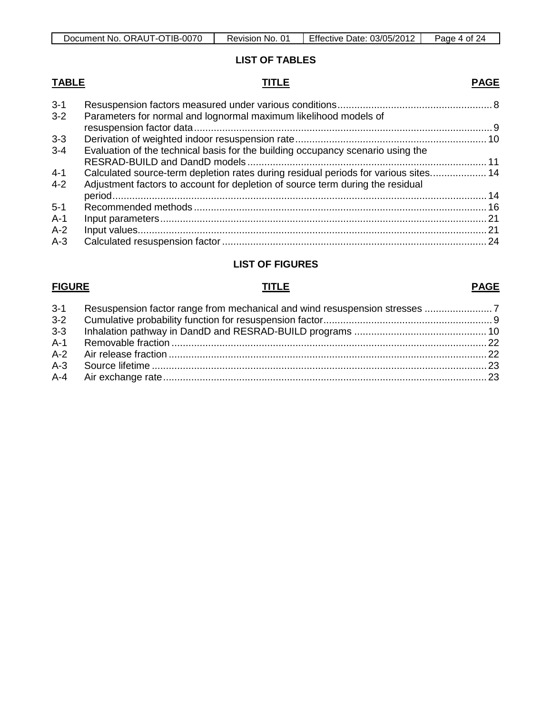| TIB-0070<br>ORAUT-C<br>Document No.<br>ີ | No.<br>Revision, | Effective<br>03/05/2012<br>Date: | Page<br>0t<br>ΣΔ. |
|------------------------------------------|------------------|----------------------------------|-------------------|

# **LIST OF TABLES**

### **TABLE TITLE PAGE**

| $3 - 1$ |                                                                                     |  |
|---------|-------------------------------------------------------------------------------------|--|
| $3 - 2$ | Parameters for normal and lognormal maximum likelihood models of                    |  |
|         |                                                                                     |  |
| $3 - 3$ |                                                                                     |  |
| $3 - 4$ | Evaluation of the technical basis for the building occupancy scenario using the     |  |
|         |                                                                                     |  |
| $4 - 1$ | Calculated source-term depletion rates during residual periods for various sites 14 |  |
| $4 - 2$ | Adjustment factors to account for depletion of source term during the residual      |  |
|         |                                                                                     |  |
| $5 - 1$ |                                                                                     |  |
| $A-1$   |                                                                                     |  |
| $A-2$   |                                                                                     |  |
| $A-3$   |                                                                                     |  |
|         |                                                                                     |  |

# **LIST OF FIGURES**

### **FIGURE TITLE PAGE**

| $3 - 2$ |  |
|---------|--|
| $3-3$   |  |
|         |  |
|         |  |
|         |  |
|         |  |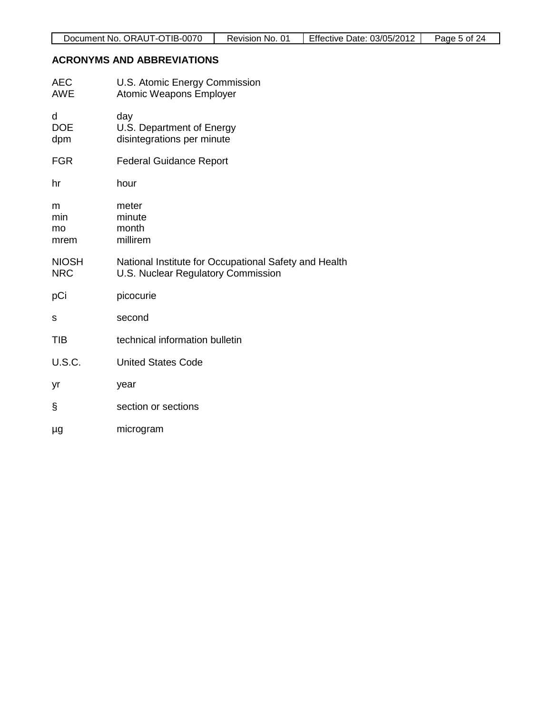# **ACRONYMS AND ABBREVIATIONS**

| AEC<br><b>AWE</b>          | U.S. Atomic Energy Commission<br><b>Atomic Weapons Employer</b>                             |
|----------------------------|---------------------------------------------------------------------------------------------|
| d<br><b>DOE</b><br>dpm     | day<br>U.S. Department of Energy<br>disintegrations per minute                              |
| <b>FGR</b>                 | <b>Federal Guidance Report</b>                                                              |
| hr                         | hour                                                                                        |
| m<br>min<br>mo<br>mrem     | meter<br>minute<br>month<br>millirem                                                        |
| <b>NIOSH</b><br><b>NRC</b> | National Institute for Occupational Safety and Health<br>U.S. Nuclear Regulatory Commission |
| pCi                        | picocurie                                                                                   |
| S                          | second                                                                                      |
| <b>TIB</b>                 | technical information bulletin                                                              |
| <b>U.S.C.</b>              | <b>United States Code</b>                                                                   |
| yr                         | year                                                                                        |
| §                          | section or sections                                                                         |
| μg                         | microgram                                                                                   |
|                            |                                                                                             |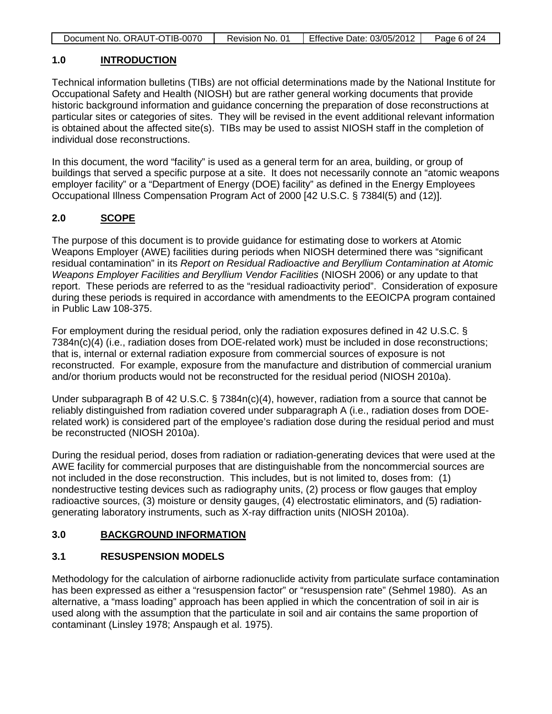| Document No. ORAUT-OTIB-0070 | Revision No. 01 | Effective Date: 03/05/2012 | Page 6 of 24 |
|------------------------------|-----------------|----------------------------|--------------|

#### **1.0 INTRODUCTION**

Technical information bulletins (TIBs) are not official determinations made by the National Institute for Occupational Safety and Health (NIOSH) but are rather general working documents that provide historic background information and guidance concerning the preparation of dose reconstructions at particular sites or categories of sites. They will be revised in the event additional relevant information is obtained about the affected site(s). TIBs may be used to assist NIOSH staff in the completion of individual dose reconstructions.

In this document, the word "facility" is used as a general term for an area, building, or group of buildings that served a specific purpose at a site. It does not necessarily connote an "atomic weapons employer facility" or a "Department of Energy (DOE) facility" as defined in the Energy Employees Occupational Illness Compensation Program Act of 2000 [42 U.S.C. § 7384l(5) and (12)].

# **2.0 SCOPE**

The purpose of this document is to provide guidance for estimating dose to workers at Atomic Weapons Employer (AWE) facilities during periods when NIOSH determined there was "significant residual contamination" in its *Report on Residual Radioactive and Beryllium Contamination at Atomic Weapons Employer Facilities and Beryllium Vendor Facilities* (NIOSH 2006) or any update to that report. These periods are referred to as the "residual radioactivity period". Consideration of exposure during these periods is required in accordance with amendments to the EEOICPA program contained in Public Law 108-375.

For employment during the residual period, only the radiation exposures defined in 42 U.S.C. § 7384n(c)(4) (i.e., radiation doses from DOE-related work) must be included in dose reconstructions; that is, internal or external radiation exposure from commercial sources of exposure is not reconstructed. For example, exposure from the manufacture and distribution of commercial uranium and/or thorium products would not be reconstructed for the residual period (NIOSH 2010a).

Under subparagraph B of 42 U.S.C. § 7384n(c)(4), however, radiation from a source that cannot be reliably distinguished from radiation covered under subparagraph A (i.e., radiation doses from DOErelated work) is considered part of the employee's radiation dose during the residual period and must be reconstructed (NIOSH 2010a).

During the residual period, doses from radiation or radiation-generating devices that were used at the AWE facility for commercial purposes that are distinguishable from the noncommercial sources are not included in the dose reconstruction. This includes, but is not limited to, doses from: (1) nondestructive testing devices such as radiography units, (2) process or flow gauges that employ radioactive sources, (3) moisture or density gauges, (4) electrostatic eliminators, and (5) radiationgenerating laboratory instruments, such as X-ray diffraction units (NIOSH 2010a).

### **3.0 BACKGROUND INFORMATION**

### **3.1 RESUSPENSION MODELS**

Methodology for the calculation of airborne radionuclide activity from particulate surface contamination has been expressed as either a "resuspension factor" or "resuspension rate" (Sehmel 1980). As an alternative, a "mass loading" approach has been applied in which the concentration of soil in air is used along with the assumption that the particulate in soil and air contains the same proportion of contaminant (Linsley 1978; Anspaugh et al. 1975).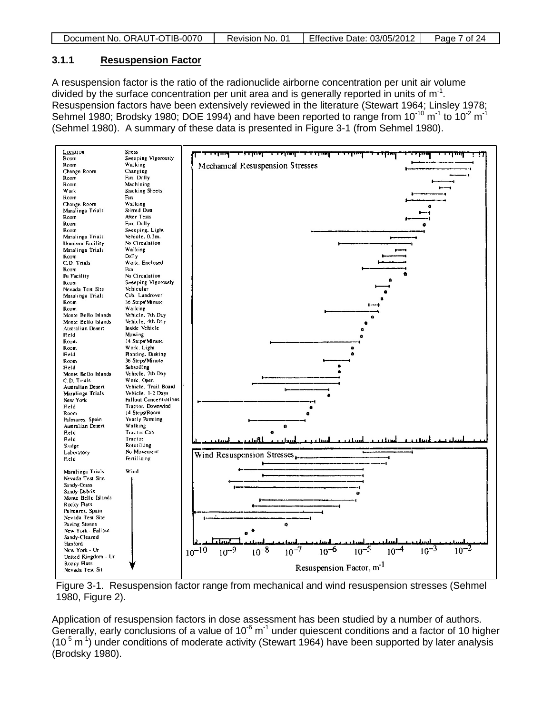| Document No. ORAUT-OTIB-0070 | Revision No. 01 | Effective Date: 03/05/2012 | Page 7 of 24 |
|------------------------------|-----------------|----------------------------|--------------|

#### **3.1.1 Resuspension Factor**

A resuspension factor is the ratio of the radionuclide airborne concentration per unit air volume divided by the surface concentration per unit area and is generally reported in units of  $m^{-1}$ . Resuspension factors have been extensively reviewed in the literature (Stewart 1964; Linsley 1978; Sehmel 1980; Brodsky 1980; DOE 1994) and have been reported to range from 10 $^{10}$  m $^1$  to 10 $^2$  m $^1$ (Sehmel 1980). A summary of these data is presented in Figure 3-1 (from Sehmel 1980).





Application of resuspension factors in dose assessment has been studied by a number of authors. Generally, early conclusions of a value of  $10^{-6}$  m<sup>-1</sup> under quiescent conditions and a factor of 10 higher  $(10^{-5} \text{ m}^{-1})$  under conditions of moderate activity (Stewart 1964) have been supported by later analysis (Brodsky 1980).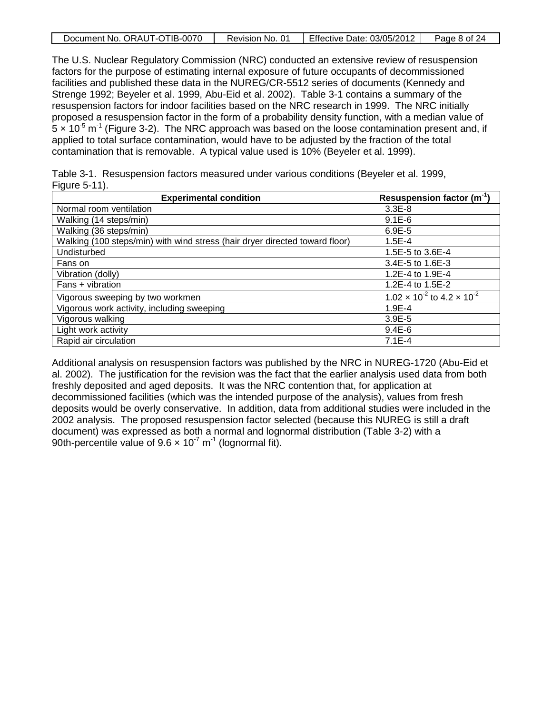|  | Document No. ORAUT-OTIB-0070 | Revision No. 01 | Effective Date: 03/05/2012 | Page 8 of 24 |
|--|------------------------------|-----------------|----------------------------|--------------|
|--|------------------------------|-----------------|----------------------------|--------------|

The U.S. Nuclear Regulatory Commission (NRC) conducted an extensive review of resuspension factors for the purpose of estimating internal exposure of future occupants of decommissioned facilities and published these data in the NUREG/CR-5512 series of documents (Kennedy and Strenge 1992; Beyeler et al. 1999, Abu-Eid et al. 2002). Table 3-1 contains a summary of the resuspension factors for indoor facilities based on the NRC research in 1999. The NRC initially proposed a resuspension factor in the form of a probability density function, with a median value of  $5 \times 10^{-5}$  m<sup>-1</sup> (Figure 3-2). The NRC approach was based on the loose contamination present and, if applied to total surface contamination, would have to be adjusted by the fraction of the total contamination that is removable. A typical value used is 10% (Beyeler et al. 1999).

Table 3-1. Resuspension factors measured under various conditions (Beyeler et al. 1999, Figure 5-11).

| <b>Experimental condition</b>                                               | Resuspension factor $(m^{-1})$                |
|-----------------------------------------------------------------------------|-----------------------------------------------|
| Normal room ventilation                                                     | $3.3E - 8$                                    |
| Walking (14 steps/min)                                                      | $9.1E-6$                                      |
| Walking (36 steps/min)                                                      | $6.9E-5$                                      |
| Walking (100 steps/min) with wind stress (hair dryer directed toward floor) | $1.5E - 4$                                    |
| Undisturbed                                                                 | 1.5E-5 to 3.6E-4                              |
| Fans on                                                                     | 3.4E-5 to 1.6E-3                              |
| Vibration (dolly)                                                           | 1.2E-4 to 1.9E-4                              |
| Fans + vibration                                                            | 1.2E-4 to 1.5E-2                              |
| Vigorous sweeping by two workmen                                            | $1.02 \times 10^{-2}$ to $4.2 \times 10^{-2}$ |
| Vigorous work activity, including sweeping                                  | $1.9E - 4$                                    |
| Vigorous walking                                                            | $3.9E - 5$                                    |
| Light work activity                                                         | $9.4E-6$                                      |
| Rapid air circulation                                                       | $7.1E-4$                                      |

Additional analysis on resuspension factors was published by the NRC in NUREG-1720 (Abu-Eid et al. 2002). The justification for the revision was the fact that the earlier analysis used data from both freshly deposited and aged deposits. It was the NRC contention that, for application at decommissioned facilities (which was the intended purpose of the analysis), values from fresh deposits would be overly conservative. In addition, data from additional studies were included in the 2002 analysis. The proposed resuspension factor selected (because this NUREG is still a draft document) was expressed as both a normal and lognormal distribution (Table 3-2) with a 90th-percentile value of  $9.6 \times 10^{-7}$  m<sup>-1</sup> (lognormal fit).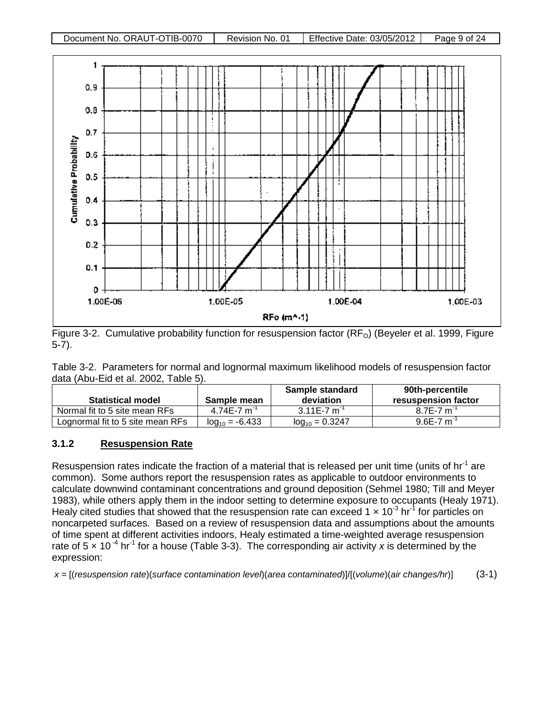



Figure 3-2. Cumulative probability function for resuspension factor (RF<sub>O</sub>) (Beyeler et al. 1999, Figure 5-7).

Table 3-2. Parameters for normal and lognormal maximum likelihood models of resuspension factor data (Abu-Eid et al. 2002, Table 5).

| <b>Statistical model</b>         | Sample mean         | Sample standard<br>deviation | 90th-percentile<br>resuspension factor |
|----------------------------------|---------------------|------------------------------|----------------------------------------|
| Normal fit to 5 site mean RFs    | $4.74E - 7m$        | $3.11E - 7m$                 | $8.7E - 7m$                            |
| Lognormal fit to 5 site mean RFs | $log_{10} = -6.433$ | $log_{10} = 0.3247$          | $9.6E - 7m$                            |

# **3.1.2 Resuspension Rate**

Resuspension rates indicate the fraction of a material that is released per unit time (units of  $hr<sup>-1</sup>$  are common). Some authors report the resuspension rates as applicable to outdoor environments to calculate downwind contaminant concentrations and ground deposition (Sehmel 1980; Till and Meyer 1983), while others apply them in the indoor setting to determine exposure to occupants (Healy 1971). Healy cited studies that showed that the resuspension rate can exceed 1  $\times$  10<sup>3</sup> hr<sup>1</sup> for particles on noncarpeted surfaces. Based on a review of resuspension data and assumptions about the amounts of time spent at different activities indoors, Healy estimated a time-weighted average resuspension rate of 5  $\times$  10<sup>-4</sup> hr<sup>-1</sup> for a house (Table 3-3). The corresponding air activity x is determined by the expression:

*x* = [(*resuspension rate*)(*surface contamination level*)(*area contaminated*)]/[(*volume*)(*air changes/hr*)] (3-1)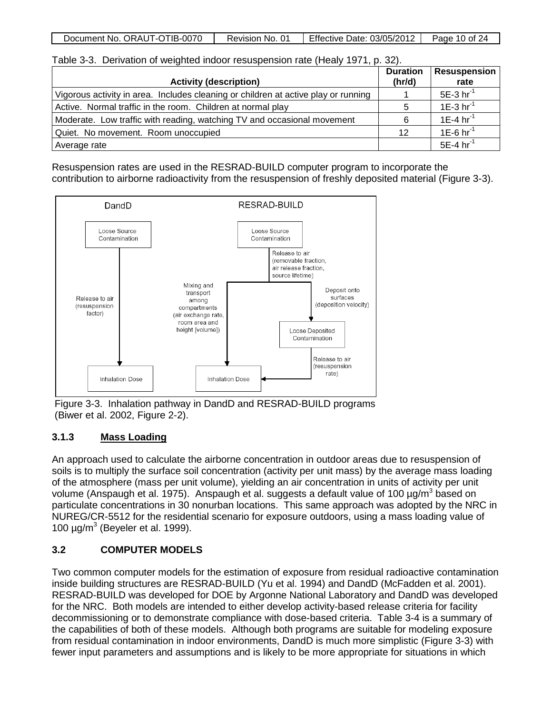|  | Document No. ORAUT-OTIB-0070 | Revision No. 01 | Effective Date: 03/05/2012 | Page 10 of 24 |
|--|------------------------------|-----------------|----------------------------|---------------|
|--|------------------------------|-----------------|----------------------------|---------------|

| Table 3-3. Derivation of weighted indoor resuspension rate (Healy 1971, p. 32). |  |  |  |  |  |  |  |  |
|---------------------------------------------------------------------------------|--|--|--|--|--|--|--|--|
|---------------------------------------------------------------------------------|--|--|--|--|--|--|--|--|

| <b>Activity (description)</b>                                                      | <b>Duration</b><br>(hr/d) | Resuspension<br>rate    |
|------------------------------------------------------------------------------------|---------------------------|-------------------------|
| Vigorous activity in area. Includes cleaning or children at active play or running |                           | $5E-3$ hr <sup>-1</sup> |
| Active. Normal traffic in the room. Children at normal play                        | 5                         | $1E-3 hr^{-1}$          |
| Moderate. Low traffic with reading, watching TV and occasional movement            |                           | 1E-4 $hr^{-1}$          |
| Quiet. No movement. Room unoccupied                                                | 12                        | $1E-6$ hr <sup>-1</sup> |
| Average rate                                                                       |                           | $5E-4$ hr <sup>-1</sup> |

Resuspension rates are used in the RESRAD-BUILD computer program to incorporate the contribution to airborne radioactivity from the resuspension of freshly deposited material (Figure 3-3).



Figure 3-3. Inhalation pathway in DandD and RESRAD-BUILD programs (Biwer et al. 2002, Figure 2-2).

# **3.1.3 Mass Loading**

An approach used to calculate the airborne concentration in outdoor areas due to resuspension of soils is to multiply the surface soil concentration (activity per unit mass) by the average mass loading of the atmosphere (mass per unit volume), yielding an air concentration in units of activity per unit volume (Anspaugh et al. 1975). Anspaugh et al. suggests a default value of 100  $\mu$ g/m<sup>3</sup> based on particulate concentrations in 30 nonurban locations. This same approach was adopted by the NRC in NUREG/CR-5512 for the residential scenario for exposure outdoors, using a mass loading value of 100  $\mu$ g/m<sup>3</sup> (Beyeler et al. 1999).

# **3.2 COMPUTER MODELS**

Two common computer models for the estimation of exposure from residual radioactive contamination inside building structures are RESRAD-BUILD (Yu et al. 1994) and DandD (McFadden et al. 2001). RESRAD-BUILD was developed for DOE by Argonne National Laboratory and DandD was developed for the NRC. Both models are intended to either develop activity-based release criteria for facility decommissioning or to demonstrate compliance with dose-based criteria. Table 3-4 is a summary of the capabilities of both of these models. Although both programs are suitable for modeling exposure from residual contamination in indoor environments, DandD is much more simplistic (Figure 3-3) with fewer input parameters and assumptions and is likely to be more appropriate for situations in which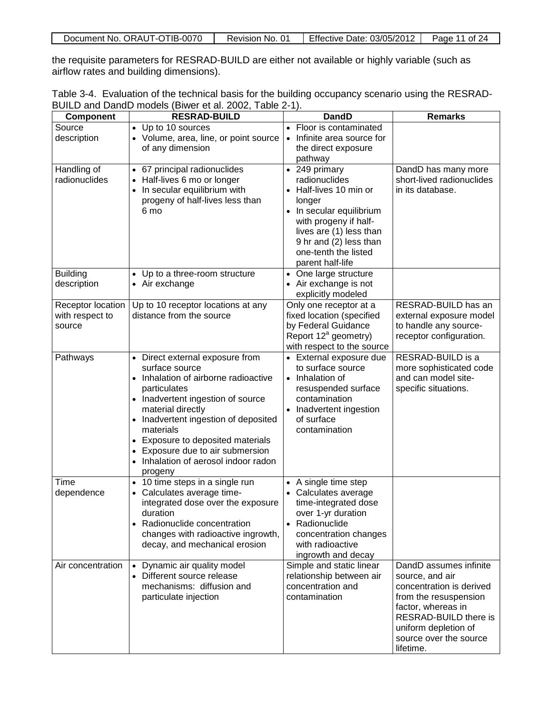| Document No. ORAUT-OTIB-0070 | Revision No. 01 | <b>Effective Date: 03/05/2012</b> | Page 11 of 24 |
|------------------------------|-----------------|-----------------------------------|---------------|
|------------------------------|-----------------|-----------------------------------|---------------|

the requisite parameters for RESRAD-BUILD are either not available or highly variable (such as airflow rates and building dimensions).

| Table 3-4. Evaluation of the technical basis for the building occupancy scenario using the RESRAD- |  |  |  |  |
|----------------------------------------------------------------------------------------------------|--|--|--|--|
| BUILD and DandD models (Biwer et al. 2002, Table 2-1).                                             |  |  |  |  |

| <b>Component</b>                               | <b>RESRAD-BUILD</b>                                                                                                                                                                                                                                                                                                                                  | DandD                                                                                                                                                                                                                | <b>Remarks</b>                                                                                                                                                                                               |
|------------------------------------------------|------------------------------------------------------------------------------------------------------------------------------------------------------------------------------------------------------------------------------------------------------------------------------------------------------------------------------------------------------|----------------------------------------------------------------------------------------------------------------------------------------------------------------------------------------------------------------------|--------------------------------------------------------------------------------------------------------------------------------------------------------------------------------------------------------------|
| Source<br>description                          | • Up to 10 sources<br>• Volume, area, line, or point source<br>of any dimension                                                                                                                                                                                                                                                                      | Floor is contaminated<br>Infinite area source for<br>the direct exposure<br>pathway                                                                                                                                  |                                                                                                                                                                                                              |
| Handling of<br>radionuclides                   | • 67 principal radionuclides<br>• Half-lives 6 mo or longer<br>• In secular equilibrium with<br>progeny of half-lives less than<br>6 mo                                                                                                                                                                                                              | • 249 primary<br>radionuclides<br>Half-lives 10 min or<br>longer<br>In secular equilibrium<br>with progeny if half-<br>lives are (1) less than<br>9 hr and (2) less than<br>one-tenth the listed<br>parent half-life | DandD has many more<br>short-lived radionuclides<br>in its database.                                                                                                                                         |
| <b>Building</b><br>description                 | • Up to a three-room structure<br>• Air exchange                                                                                                                                                                                                                                                                                                     | One large structure<br>$\bullet$<br>Air exchange is not<br>explicitly modeled                                                                                                                                        |                                                                                                                                                                                                              |
| Receptor location<br>with respect to<br>source | Up to 10 receptor locations at any<br>distance from the source                                                                                                                                                                                                                                                                                       | Only one receptor at a<br>fixed location (specified<br>by Federal Guidance<br>Report 12 <sup>ª</sup> geometry)<br>with respect to the source                                                                         | RESRAD-BUILD has an<br>external exposure model<br>to handle any source-<br>receptor configuration.                                                                                                           |
| Pathways                                       | • Direct external exposure from<br>surface source<br>• Inhalation of airborne radioactive<br>particulates<br>• Inadvertent ingestion of source<br>material directly<br>• Inadvertent ingestion of deposited<br>materials<br>• Exposure to deposited materials<br>• Exposure due to air submersion<br>• Inhalation of aerosol indoor radon<br>progeny | • External exposure due<br>to surface source<br>Inhalation of<br>$\bullet$<br>resuspended surface<br>contamination<br>Inadvertent ingestion<br>of surface<br>contamination                                           | RESRAD-BUILD is a<br>more sophisticated code<br>and can model site-<br>specific situations.                                                                                                                  |
| <b>Time</b><br>dependence                      | • 10 time steps in a single run<br>• Calculates average time-<br>integrated dose over the exposure<br>duration<br>• Radionuclide concentration<br>changes with radioactive ingrowth,<br>decay, and mechanical erosion                                                                                                                                | A single time step<br>Calculates average<br>time-integrated dose<br>over 1-yr duration<br>Radionuclide<br>$\bullet$<br>concentration changes<br>with radioactive<br>ingrowth and decay                               |                                                                                                                                                                                                              |
| Air concentration                              | • Dynamic air quality model<br>• Different source release<br>mechanisms: diffusion and<br>particulate injection                                                                                                                                                                                                                                      | Simple and static linear<br>relationship between air<br>concentration and<br>contamination                                                                                                                           | DandD assumes infinite<br>source, and air<br>concentration is derived<br>from the resuspension<br>factor, whereas in<br>RESRAD-BUILD there is<br>uniform depletion of<br>source over the source<br>lifetime. |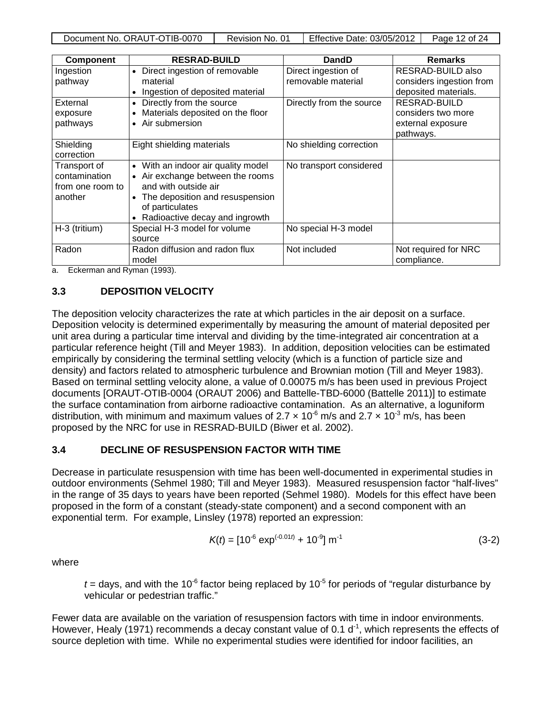| <b>Component</b>                                             | <b>RESRAD-BUILD</b>                                                                                                                                                                    | DandD                                     | <b>Remarks</b>                                                       |
|--------------------------------------------------------------|----------------------------------------------------------------------------------------------------------------------------------------------------------------------------------------|-------------------------------------------|----------------------------------------------------------------------|
| Ingestion<br>pathway                                         | Direct ingestion of removable<br>material                                                                                                                                              | Direct ingestion of<br>removable material | RESRAD-BUILD also<br>considers ingestion from                        |
|                                                              | Ingestion of deposited material                                                                                                                                                        |                                           | deposited materials.                                                 |
| External<br>exposure<br>pathways                             | Directly from the source<br>Materials deposited on the floor<br>• Air submersion                                                                                                       | Directly from the source                  | RESRAD-BUILD<br>considers two more<br>external exposure<br>pathways. |
| Shielding<br>correction                                      | Eight shielding materials                                                                                                                                                              | No shielding correction                   |                                                                      |
| Transport of<br>contamination<br>from one room to<br>another | • With an indoor air quality model<br>• Air exchange between the rooms<br>and with outside air<br>The deposition and resuspension<br>of particulates<br>Radioactive decay and ingrowth | No transport considered                   |                                                                      |
| H-3 (tritium)                                                | Special H-3 model for volume<br>source                                                                                                                                                 | No special H-3 model                      |                                                                      |
| Radon<br>$ -$<br>$\overline{\phantom{a}}$                    | Radon diffusion and radon flux<br>model<br>$\lambda$ $\lambda$ $\lambda$ $\lambda$                                                                                                     | Not included                              | Not required for NRC<br>compliance.                                  |

a. Eckerman and Ryman (1993).

# **3.3 DEPOSITION VELOCITY**

The deposition velocity characterizes the rate at which particles in the air deposit on a surface. Deposition velocity is determined experimentally by measuring the amount of material deposited per unit area during a particular time interval and dividing by the time-integrated air concentration at a particular reference height (Till and Meyer 1983). In addition, deposition velocities can be estimated empirically by considering the terminal settling velocity (which is a function of particle size and density) and factors related to atmospheric turbulence and Brownian motion (Till and Meyer 1983). Based on terminal settling velocity alone, a value of 0.00075 m/s has been used in previous Project documents [ORAUT-OTIB-0004 (ORAUT 2006) and Battelle-TBD-6000 (Battelle 2011)] to estimate the surface contamination from airborne radioactive contamination. As an alternative, a loguniform distribution, with minimum and maximum values of 2.7  $\times$  10<sup>-6</sup> m/s and 2.7  $\times$  10<sup>-3</sup> m/s, has been proposed by the NRC for use in RESRAD-BUILD (Biwer et al. 2002).

### **3.4 DECLINE OF RESUSPENSION FACTOR WITH TIME**

Decrease in particulate resuspension with time has been well-documented in experimental studies in outdoor environments (Sehmel 1980; Till and Meyer 1983). Measured resuspension factor "half-lives" in the range of 35 days to years have been reported (Sehmel 1980). Models for this effect have been proposed in the form of a constant (steady-state component) and a second component with an exponential term. For example, Linsley (1978) reported an expression:

$$
K(t) = [10^{-6} \exp^{(-0.01t)} + 10^{-9}] \text{ m}^{-1}
$$
 (3-2)

where

 $t =$  days, and with the 10<sup>-6</sup> factor being replaced by 10<sup>-5</sup> for periods of "regular disturbance by vehicular or pedestrian traffic."

Fewer data are available on the variation of resuspension factors with time in indoor environments. However, Healy (1971) recommends a decay constant value of 0.1  $d<sup>-1</sup>$ , which represents the effects of source depletion with time. While no experimental studies were identified for indoor facilities, an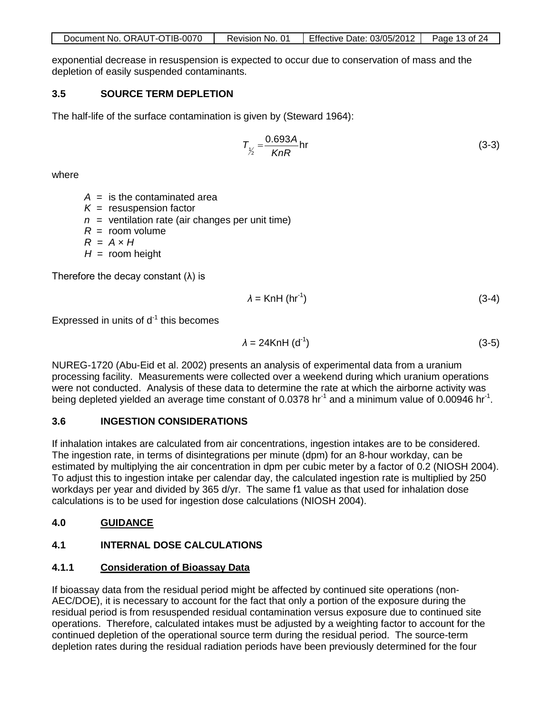| Document No. ORAUT-OTIB-0070 | Revision No. 01 | Effective Date: 03/05/2012 | Page 13 of 24 |
|------------------------------|-----------------|----------------------------|---------------|
|                              |                 |                            |               |

exponential decrease in resuspension is expected to occur due to conservation of mass and the depletion of easily suspended contaminants.

#### **3.5 SOURCE TERM DEPLETION**

The half-life of the surface contamination is given by (Steward 1964):

$$
T_{\gamma_2} = \frac{0.693A}{KnR} \text{hr}
$$
 (3-3)

where

 $A =$  is the contaminated area

- $K =$  resuspension factor
- $n =$  ventilation rate (air changes per unit time)
- $R =$  room volume
- $R = A \times H$

 $H =$  room height

Therefore the decay constant  $(\lambda)$  is

$$
\lambda = KnH \left( hr^{-1} \right) \tag{3-4}
$$

Expressed in units of  $d^{-1}$  this becomes

$$
\lambda = 24 \text{KnH} \, \text{(d}^{\text{-}1}) \tag{3-5}
$$

NUREG-1720 (Abu-Eid et al. 2002) presents an analysis of experimental data from a uranium processing facility. Measurements were collected over a weekend during which uranium operations were not conducted. Analysis of these data to determine the rate at which the airborne activity was being depleted yielded an average time constant of 0.0378 hr<sup>-1</sup> and a minimum value of 0.00946 hr<sup>-1</sup>.

### **3.6 INGESTION CONSIDERATIONS**

If inhalation intakes are calculated from air concentrations, ingestion intakes are to be considered. The ingestion rate, in terms of disintegrations per minute (dpm) for an 8-hour workday, can be estimated by multiplying the air concentration in dpm per cubic meter by a factor of 0.2 (NIOSH 2004). To adjust this to ingestion intake per calendar day, the calculated ingestion rate is multiplied by 250 workdays per year and divided by 365 d/yr. The same f1 value as that used for inhalation dose calculations is to be used for ingestion dose calculations (NIOSH 2004).

# **4.0 GUIDANCE**

# **4.1 INTERNAL DOSE CALCULATIONS**

### **4.1.1 Consideration of Bioassay Data**

If bioassay data from the residual period might be affected by continued site operations (non-AEC/DOE), it is necessary to account for the fact that only a portion of the exposure during the residual period is from resuspended residual contamination versus exposure due to continued site operations. Therefore, calculated intakes must be adjusted by a weighting factor to account for the continued depletion of the operational source term during the residual period. The source-term depletion rates during the residual radiation periods have been previously determined for the four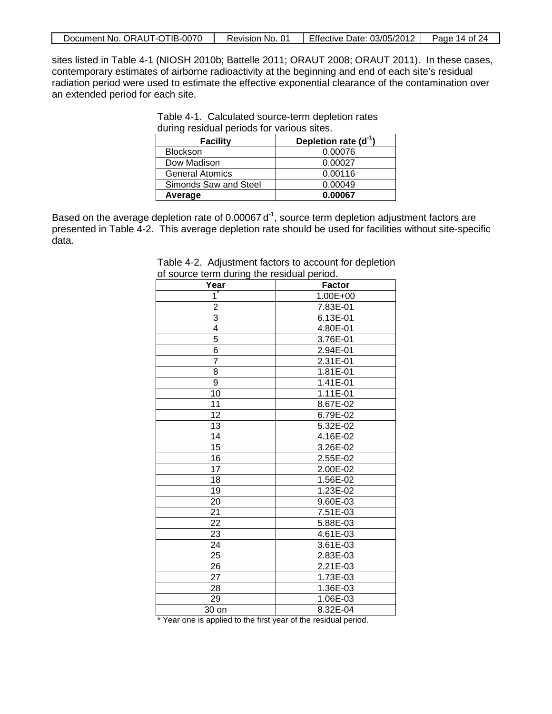sites listed in Table 4-1 (NIOSH 2010b; Battelle 2011; ORAUT 2008; ORAUT 2011). In these cases, contemporary estimates of airborne radioactivity at the beginning and end of each site's residual radiation period were used to estimate the effective exponential clearance of the contamination over an extended period for each site.

| during residual periods for various sites. |                        |  |  |
|--------------------------------------------|------------------------|--|--|
| <b>Facility</b>                            | Depletion rate $(d-1)$ |  |  |
| <b>Blockson</b>                            | 0.00076                |  |  |
| Dow Madison                                | 0.00027                |  |  |
| <b>General Atomics</b>                     | 0.00116                |  |  |
| Simonds Saw and Steel                      | 0.00049                |  |  |
| Average                                    | 0.00067                |  |  |

Table 4-1. Calculated source-term depletion rates during residual periods for various sites.

Based on the average depletion rate of 0.00067 $d<sup>-1</sup>$ , source term depletion adjustment factors are presented in Table 4-2. This average depletion rate should be used for facilities without site-specific data.

| Year            | <b>Factor</b> |
|-----------------|---------------|
| 1               | 1.00E+00      |
| $\overline{2}$  | 7.83E-01      |
| $\overline{3}$  | 6.13E-01      |
| $\overline{4}$  | 4.80E-01      |
|                 | 3.76E-01      |
| $\frac{5}{6}$   | 2.94E-01      |
| 7               | $2.31E-01$    |
| $\overline{8}$  | 1.81E-01      |
| 9               | 1.41E-01      |
| 10              | 1.11E-01      |
| 11              | 8.67E-02      |
| $\overline{12}$ | 6.79E-02      |
| 13              | 5.32E-02      |
| 14              | 4.16E-02      |
| $\overline{15}$ | 3.26E-02      |
| 16              | 2.55E-02      |
| $\overline{17}$ | 2.00E-02      |
| 18              | 1.56E-02      |
| 19              | 1.23E-02      |
| 20              | 9.60E-03      |
| $\overline{21}$ | 7.51E-03      |
| $\overline{22}$ | 5.88E-03      |
| 23              | 4.61E-03      |
| 24              | 3.61E-03      |
| $\overline{25}$ | 2.83E-03      |
| 26              | 2.21E-03      |
| 27              | 1.73E-03      |
| 28              | 1.36E-03      |
| 29              | 1.06E-03      |
| 30 on           | 8.32E-04      |

Table 4-2. Adjustment factors to account for depletion of source term during the residual period.

\* Year one is applied to the first year of the residual period.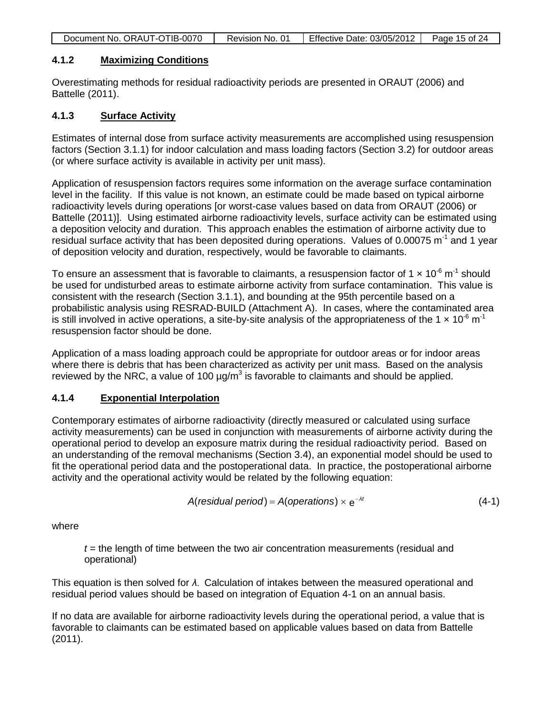| Document No. ORAUT-OTIB-0070 | Revision No. 01 | Effective Date: 03/05/2012   Page 15 of 24 |  |
|------------------------------|-----------------|--------------------------------------------|--|

### **4.1.2 Maximizing Conditions**

Overestimating methods for residual radioactivity periods are presented in ORAUT (2006) and Battelle (2011).

### **4.1.3 Surface Activity**

Estimates of internal dose from surface activity measurements are accomplished using resuspension factors (Section 3.1.1) for indoor calculation and mass loading factors (Section 3.2) for outdoor areas (or where surface activity is available in activity per unit mass).

Application of resuspension factors requires some information on the average surface contamination level in the facility. If this value is not known, an estimate could be made based on typical airborne radioactivity levels during operations [or worst-case values based on data from ORAUT (2006) or Battelle (2011)]. Using estimated airborne radioactivity levels, surface activity can be estimated using a deposition velocity and duration. This approach enables the estimation of airborne activity due to residual surface activity that has been deposited during operations. Values of 0.00075  $\text{m}^{\text{-1}}$  and 1 year of deposition velocity and duration, respectively, would be favorable to claimants.

To ensure an assessment that is favorable to claimants, a resuspension factor of 1  $\times$  10<sup>-6</sup> m<sup>-1</sup> should be used for undisturbed areas to estimate airborne activity from surface contamination. This value is consistent with the research (Section 3.1.1), and bounding at the 95th percentile based on a probabilistic analysis using RESRAD-BUILD (Attachment A). In cases, where the contaminated area is still involved in active operations, a site-by-site analysis of the appropriateness of the 1  $\times$  10<sup>-6</sup> m<sup>-1</sup> resuspension factor should be done.

Application of a mass loading approach could be appropriate for outdoor areas or for indoor areas where there is debris that has been characterized as activity per unit mass. Based on the analysis reviewed by the NRC, a value of 100  $\mu q/m^3$  is favorable to claimants and should be applied.

### **4.1.4 Exponential Interpolation**

Contemporary estimates of airborne radioactivity (directly measured or calculated using surface activity measurements) can be used in conjunction with measurements of airborne activity during the operational period to develop an exposure matrix during the residual radioactivity period. Based on an understanding of the removal mechanisms (Section 3.4), an exponential model should be used to fit the operational period data and the postoperational data. In practice, the postoperational airborne activity and the operational activity would be related by the following equation:

$$
A(residual period) = A(openations) \times e^{-\lambda t}
$$
 (4-1)

where

*t* = the length of time between the two air concentration measurements (residual and operational)

This equation is then solved for *λ*. Calculation of intakes between the measured operational and residual period values should be based on integration of Equation 4-1 on an annual basis.

If no data are available for airborne radioactivity levels during the operational period, a value that is favorable to claimants can be estimated based on applicable values based on data from Battelle (2011).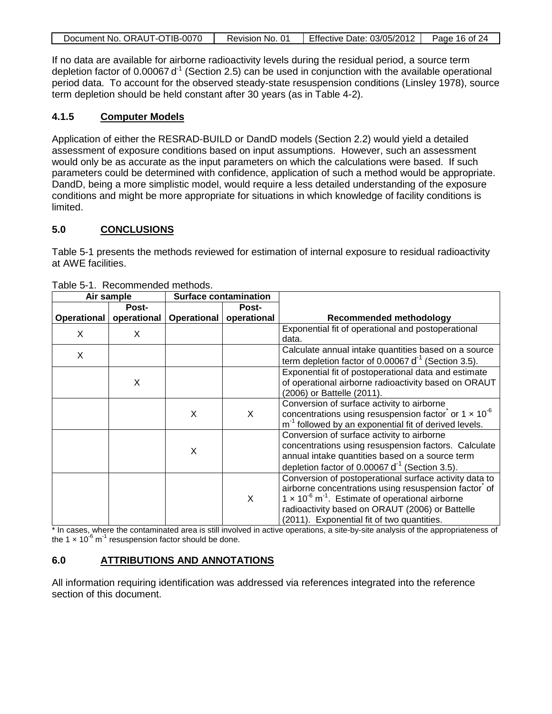|  | Document No. ORAUT-OTIB-0070 | Revision No. 01 | Effective Date: 03/05/2012 | Page 16 of 24 |
|--|------------------------------|-----------------|----------------------------|---------------|
|--|------------------------------|-----------------|----------------------------|---------------|

If no data are available for airborne radioactivity levels during the residual period, a source term depletion factor of 0.00067  $d^1$  (Section 2.5) can be used in conjunction with the available operational period data. To account for the observed steady-state resuspension conditions (Linsley 1978), source term depletion should be held constant after 30 years (as in Table 4-2).

### **4.1.5 Computer Models**

Application of either the RESRAD-BUILD or DandD models (Section 2.2) would yield a detailed assessment of exposure conditions based on input assumptions. However, such an assessment would only be as accurate as the input parameters on which the calculations were based. If such parameters could be determined with confidence, application of such a method would be appropriate. DandD, being a more simplistic model, would require a less detailed understanding of the exposure conditions and might be more appropriate for situations in which knowledge of facility conditions is limited.

### **5.0 CONCLUSIONS**

Table 5-1 presents the methods reviewed for estimation of internal exposure to residual radioactivity at AWE facilities.

| Air sample<br><b>Surface contamination</b> |                |                    |             |                                                                                                                                                                                                                                                                                          |
|--------------------------------------------|----------------|--------------------|-------------|------------------------------------------------------------------------------------------------------------------------------------------------------------------------------------------------------------------------------------------------------------------------------------------|
|                                            | Post-<br>Post- |                    |             |                                                                                                                                                                                                                                                                                          |
| Operational                                | operational    | <b>Operational</b> | operational | <b>Recommended methodology</b>                                                                                                                                                                                                                                                           |
| X                                          | X              |                    |             | Exponential fit of operational and postoperational<br>data.                                                                                                                                                                                                                              |
| X                                          |                |                    |             | Calculate annual intake quantities based on a source<br>term depletion factor of 0.00067 $d^{-1}$ (Section 3.5).                                                                                                                                                                         |
|                                            | Χ              |                    |             | Exponential fit of postoperational data and estimate<br>of operational airborne radioactivity based on ORAUT<br>(2006) or Battelle (2011).                                                                                                                                               |
|                                            |                | X                  | X           | Conversion of surface activity to airborne<br>concentrations using resuspension factor or $1 \times 10^{-6}$<br>m <sup>-1</sup> followed by an exponential fit of derived levels.                                                                                                        |
|                                            |                | X                  |             | Conversion of surface activity to airborne<br>concentrations using resuspension factors. Calculate<br>annual intake quantities based on a source term<br>depletion factor of 0.00067 $d^{-1}$ (Section 3.5).                                                                             |
|                                            |                |                    | X           | Conversion of postoperational surface activity data to<br>airborne concentrations using resuspension factor of<br>$1 \times 10^{-6}$ m <sup>-1</sup> . Estimate of operational airborne<br>radioactivity based on ORAUT (2006) or Battelle<br>(2011). Exponential fit of two quantities. |

Table 5-1. Recommended methods.

\* In cases, where the contaminated area is still involved in active operations, a site-by-site analysis of the appropriateness of the 1  $\times$  10<sup>-6</sup> m<sup>-1</sup> resuspension factor should be done.

# **6.0 ATTRIBUTIONS AND ANNOTATIONS**

All information requiring identification was addressed via references integrated into the reference section of this document.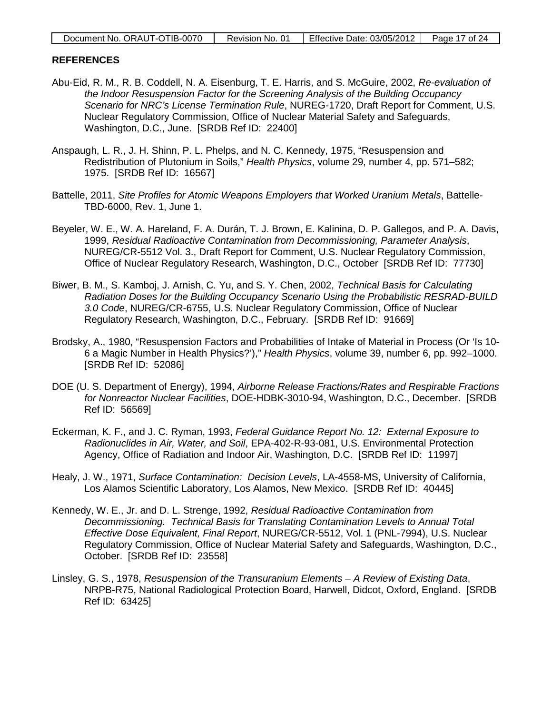| Document No. ORAUT-OTIB-0070 | Revision No. 01 | Effective Date: 03/05/2012 ↓ | Page 17 of 24 |
|------------------------------|-----------------|------------------------------|---------------|
|------------------------------|-----------------|------------------------------|---------------|

#### **REFERENCES**

- Abu-Eid, R. M., R. B. Coddell, N. A. Eisenburg, T. E. Harris, and S. McGuire, 2002, *Re-evaluation of the Indoor Resuspension Factor for the Screening Analysis of the Building Occupancy Scenario for NRC's License Termination Rule*, NUREG-1720, Draft Report for Comment, U.S. Nuclear Regulatory Commission, Office of Nuclear Material Safety and Safeguards, Washington, D.C., June. [SRDB Ref ID: 22400]
- Anspaugh, L. R., J. H. Shinn, P. L. Phelps, and N. C. Kennedy, 1975, "Resuspension and Redistribution of Plutonium in Soils," *Health Physics*, volume 29, number 4, pp. 571–582; 1975. [SRDB Ref ID: 16567]
- Battelle, 2011, *Site Profiles for Atomic Weapons Employers that Worked Uranium Metals*, Battelle-TBD-6000, Rev. 1, June 1.
- Beyeler, W. E., W. A. Hareland, F. A. Durán, T. J. Brown, E. Kalinina, D. P. Gallegos, and P. A. Davis, 1999, *Residual Radioactive Contamination from Decommissioning, Parameter Analysis*, NUREG/CR-5512 Vol. 3., Draft Report for Comment, U.S. Nuclear Regulatory Commission, Office of Nuclear Regulatory Research, Washington, D.C., October [SRDB Ref ID: 77730]
- Biwer, B. M., S. Kamboj, J. Arnish, C. Yu, and S. Y. Chen, 2002, *Technical Basis for Calculating Radiation Doses for the Building Occupancy Scenario Using the Probabilistic RESRAD-BUILD 3.0 Code*, NUREG/CR-6755, U.S. Nuclear Regulatory Commission, Office of Nuclear Regulatory Research, Washington, D.C., February. [SRDB Ref ID: 91669]
- Brodsky, A., 1980, "Resuspension Factors and Probabilities of Intake of Material in Process (Or 'Is 10- 6 a Magic Number in Health Physics?')," *Health Physics*, volume 39, number 6, pp. 992–1000. [SRDB Ref ID: 52086]
- DOE (U. S. Department of Energy), 1994, *Airborne Release Fractions/Rates and Respirable Fractions for Nonreactor Nuclear Facilities*, DOE-HDBK-3010-94, Washington, D.C., December. [SRDB Ref ID: 56569]
- Eckerman, K. F., and J. C. Ryman, 1993, *Federal Guidance Report No. 12: External Exposure to Radionuclides in Air, Water, and Soil*, EPA-402-R-93-081, U.S. Environmental Protection Agency, Office of Radiation and Indoor Air, Washington, D.C. [SRDB Ref ID: 11997]
- Healy, J. W., 1971, *Surface Contamination: Decision Levels*, LA-4558-MS, University of California, Los Alamos Scientific Laboratory, Los Alamos, New Mexico. [SRDB Ref ID: 40445]
- Kennedy, W. E., Jr. and D. L. Strenge, 1992, *Residual Radioactive Contamination from Decommissioning. Technical Basis for Translating Contamination Levels to Annual Total Effective Dose Equivalent, Final Report*, NUREG/CR-5512, Vol. 1 (PNL-7994), U.S. Nuclear Regulatory Commission, Office of Nuclear Material Safety and Safeguards, Washington, D.C., October. [SRDB Ref ID: 23558]
- Linsley, G. S., 1978, *Resuspension of the Transuranium Elements – A Review of Existing Data*, NRPB-R75, National Radiological Protection Board, Harwell, Didcot, Oxford, England. [SRDB Ref ID: 63425]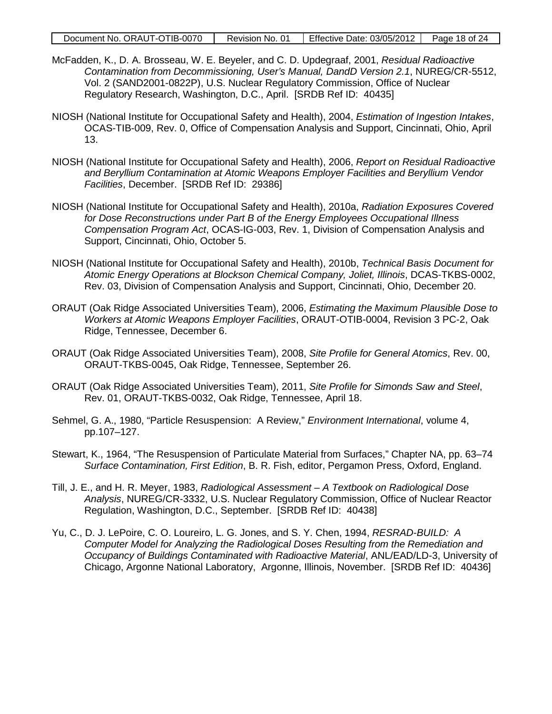| Document No. ORAUT-OTIB-0070 | Revision No. 01 | Effective Date: 03/05/2012 | Page 18 of 24 |
|------------------------------|-----------------|----------------------------|---------------|
|------------------------------|-----------------|----------------------------|---------------|

- McFadden, K., D. A. Brosseau, W. E. Beyeler, and C. D. Updegraaf, 2001, *Residual Radioactive Contamination from Decommissioning, User's Manual, DandD Version 2.1*, NUREG/CR-5512, Vol. 2 (SAND2001-0822P), U.S. Nuclear Regulatory Commission, Office of Nuclear Regulatory Research, Washington, D.C., April. [SRDB Ref ID: 40435]
- NIOSH (National Institute for Occupational Safety and Health), 2004, *Estimation of Ingestion Intakes*, OCAS-TIB-009, Rev. 0, Office of Compensation Analysis and Support, Cincinnati, Ohio, April 13.
- NIOSH (National Institute for Occupational Safety and Health), 2006, *Report on Residual Radioactive and Beryllium Contamination at Atomic Weapons Employer Facilities and Beryllium Vendor Facilities*, December. [SRDB Ref ID: 29386]
- NIOSH (National Institute for Occupational Safety and Health), 2010a, *Radiation Exposures Covered for Dose Reconstructions under Part B of the Energy Employees Occupational Illness Compensation Program Act*, OCAS-IG-003, Rev. 1, Division of Compensation Analysis and Support, Cincinnati, Ohio, October 5.
- NIOSH (National Institute for Occupational Safety and Health), 2010b, *Technical Basis Document for Atomic Energy Operations at Blockson Chemical Company, Joliet, Illinois*, DCAS-TKBS-0002, Rev. 03, Division of Compensation Analysis and Support, Cincinnati, Ohio, December 20.
- ORAUT (Oak Ridge Associated Universities Team), 2006, *Estimating the Maximum Plausible Dose to Workers at Atomic Weapons Employer Facilities*, ORAUT-OTIB-0004, Revision 3 PC-2, Oak Ridge, Tennessee, December 6.
- ORAUT (Oak Ridge Associated Universities Team), 2008, *Site Profile for General Atomics*, Rev. 00, ORAUT-TKBS-0045, Oak Ridge, Tennessee, September 26.
- ORAUT (Oak Ridge Associated Universities Team), 2011, *Site Profile for Simonds Saw and Steel*, Rev. 01, ORAUT-TKBS-0032, Oak Ridge, Tennessee, April 18.
- Sehmel, G. A., 1980, "Particle Resuspension: A Review," *Environment International*, volume 4, pp.107–127.
- Stewart, K., 1964, "The Resuspension of Particulate Material from Surfaces," Chapter NA, pp. 63–74 *Surface Contamination, First Edition*, B. R. Fish, editor, Pergamon Press, Oxford, England.
- Till, J. E., and H. R. Meyer, 1983, *Radiological Assessment – A Textbook on Radiological Dose Analysis*, NUREG/CR-3332, U.S. Nuclear Regulatory Commission, Office of Nuclear Reactor Regulation, Washington, D.C., September. [SRDB Ref ID: 40438]
- Yu, C., D. J. LePoire, C. O. Loureiro, L. G. Jones, and S. Y. Chen, 1994, *RESRAD-BUILD: A Computer Model for Analyzing the Radiological Doses Resulting from the Remediation and Occupancy of Buildings Contaminated with Radioactive Material*, ANL/EAD/LD-3, University of Chicago, Argonne National Laboratory, Argonne, Illinois, November. [SRDB Ref ID: 40436]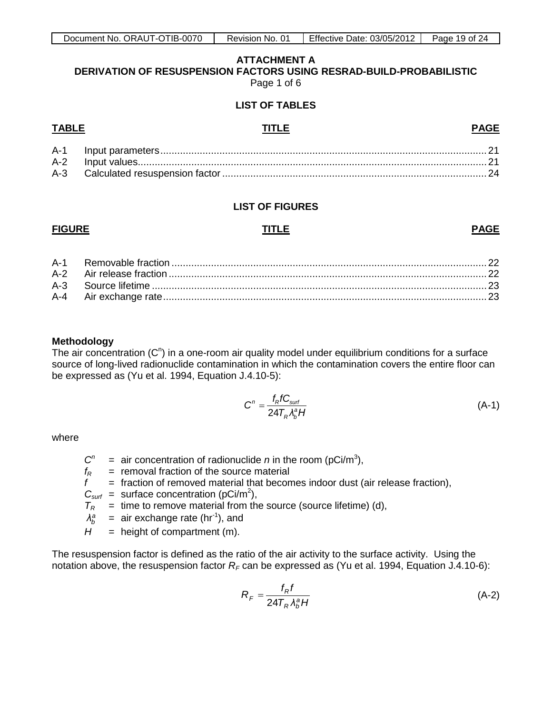#### **ATTACHMENT A DERIVATION OF RESUSPENSION FACTORS USING RESRAD-BUILD-PROBABILISTIC** Page 1 of 6

#### **LIST OF TABLES**

#### <span id="page-18-0"></span>**TABLE TITLE PAGE**

#### **LIST OF FIGURES**

#### **FIGURE TITLE PAGE**

#### **Methodology**

The air concentration  $(C<sup>n</sup>)$  in a one-room air quality model under equilibrium conditions for a surface source of long-lived radionuclide contamination in which the contamination covers the entire floor can be expressed as (Yu et al. 1994, Equation J.4.10-5):

$$
C^n = \frac{f_R f C_{\text{surf}}}{24T_R \lambda_b^2 H}
$$
 (A-1)

where

- $C^n$  = air concentration of radionuclide *n* in the room (pCi/m<sup>3</sup>),
- $f_R$  = removal fraction of the source material<br> $f$  = fraction of removed material that becon
- $=$  fraction of removed material that becomes indoor dust (air release fraction),
- $C_{\text{surf}}$  = surface concentration (pCi/m<sup>2</sup>),
- $T_R$  = time to remove material from the source (source lifetime) (d),
- $\lambda_h^a$  $\lambda_b^a$  = air exchange rate (hr<sup>-1</sup>), and
- $H =$  height of compartment (m).

The resuspension factor is defined as the ratio of the air activity to the surface activity. Using the notation above, the resuspension factor  $R_F$  can be expressed as (Yu et al. 1994, Equation J.4.10-6):

$$
R_F = \frac{f_R f}{24T_R \lambda_b^a H}
$$
 (A-2)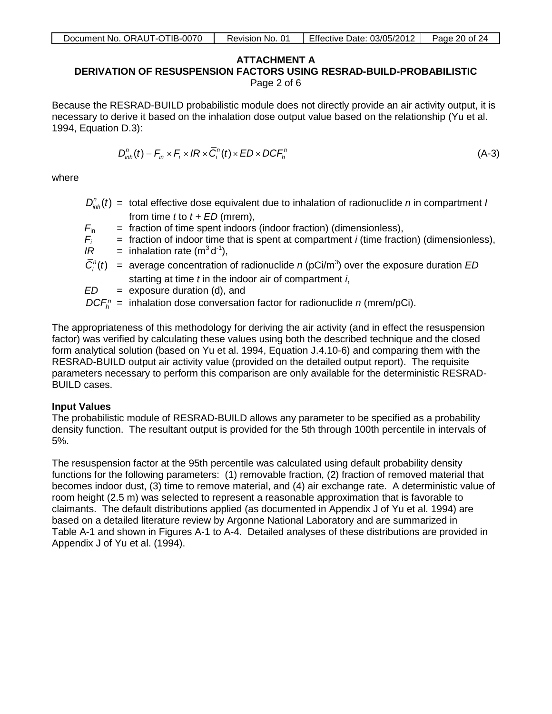| Document No. ORAUT-OTIB-0070 | Revision No. 01 | Effective Date: 03/05/2012 | Page 20 of 24 |
|------------------------------|-----------------|----------------------------|---------------|

# **ATTACHMENT A**

**DERIVATION OF RESUSPENSION FACTORS USING RESRAD-BUILD-PROBABILISTIC**

Page 2 of 6

Because the RESRAD-BUILD probabilistic module does not directly provide an air activity output, it is necessary to derive it based on the inhalation dose output value based on the relationship (Yu et al. 1994, Equation D.3):

$$
D_{inh}^n(t) = F_{in} \times F_i \times IR \times \overline{C}_i^n(t) \times ED \times DCF_h^n
$$
\n(A-3)

where

- $D_{\text{int}}^{n}(t)$  = total effective dose equivalent due to inhalation of radionuclide *n* in compartment *I* from time *t* to *t + ED* (mrem),
- $F_{\text{in}}$  = fraction of time spent indoors (indoor fraction) (dimensionless),
- $F_i$  = fraction of indoor time that is spent at compartment *i* (time fraction) (dimensionless),<br> $IR$  = inhalation rate (m<sup>3</sup> d<sup>-1</sup>),

 $IR =$  inhalation rate (m<sup>3</sup> d<sup>-1</sup>),

- $\overline{C}_i^n(t)$  = average concentration of radionuclide *n* (pCi/m<sup>3</sup>) over the exposure duration *ED* starting at time *t* in the indoor air of compartment *i*,
- *ED* = exposure duration (d), and
- $DCF<sub>b</sub><sup>n</sup>$  = inhalation dose conversation factor for radionuclide *n* (mrem/pCi).

The appropriateness of this methodology for deriving the air activity (and in effect the resuspension factor) was verified by calculating these values using both the described technique and the closed form analytical solution (based on Yu et al. 1994, Equation J.4.10-6) and comparing them with the RESRAD-BUILD output air activity value (provided on the detailed output report). The requisite parameters necessary to perform this comparison are only available for the deterministic RESRAD-BUILD cases.

### **Input Values**

The probabilistic module of RESRAD-BUILD allows any parameter to be specified as a probability density function. The resultant output is provided for the 5th through 100th percentile in intervals of 5%.

The resuspension factor at the 95th percentile was calculated using default probability density functions for the following parameters: (1) removable fraction, (2) fraction of removed material that becomes indoor dust, (3) time to remove material, and (4) air exchange rate. A deterministic value of room height (2.5 m) was selected to represent a reasonable approximation that is favorable to claimants. The default distributions applied (as documented in Appendix J of Yu et al. 1994) are based on a detailed literature review by Argonne National Laboratory and are summarized in Table A-1 and shown in Figures A-1 to A-4. Detailed analyses of these distributions are provided in Appendix J of Yu et al. (1994).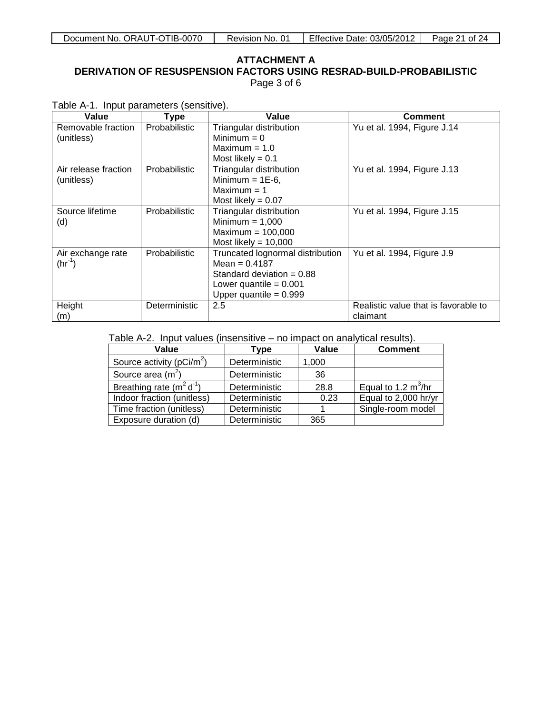#### **ATTACHMENT A DERIVATION OF RESUSPENSION FACTORS USING RESRAD-BUILD-PROBABILISTIC** Page 3 of 6

Table A-1. Input parameters (sensitive).

| Value                              | <b>Type</b>          | Value                                                                                                                                      | <b>Comment</b>                                   |
|------------------------------------|----------------------|--------------------------------------------------------------------------------------------------------------------------------------------|--------------------------------------------------|
| Removable fraction<br>(unitless)   | <b>Probabilistic</b> | Triangular distribution<br>Minimum $= 0$<br>Maximum $= 1.0$<br>Most likely $= 0.1$                                                         | Yu et al. 1994, Figure J.14                      |
| Air release fraction<br>(unitless) | <b>Probabilistic</b> | Triangular distribution<br>Minimum = $1E-6$ ,<br>$Maximum = 1$<br>Most likely = $0.07$                                                     | Yu et al. 1994, Figure J.13                      |
| Source lifetime<br>(d)             | <b>Probabilistic</b> | Triangular distribution<br>Minimum $= 1,000$<br>Maximum = $100,000$<br>Most likely = $10,000$                                              | Yu et al. 1994, Figure J.15                      |
| Air exchange rate<br>$(hr^{-1})$   | Probabilistic        | Truncated lognormal distribution<br>Mean = $0.4187$<br>Standard deviation $= 0.88$<br>Lower quantile = $0.001$<br>Upper quantile = $0.999$ | Yu et al. 1994, Figure J.9                       |
| Height<br>(m)                      | Deterministic        | 2.5                                                                                                                                        | Realistic value that is favorable to<br>claimant |

Table A-2. Input values (insensitive – no impact on analytical results).

| Value                         | Type          | Value | <b>Comment</b>        |
|-------------------------------|---------------|-------|-----------------------|
| Source activity ( $pCi/m^2$ ) | Deterministic | 1,000 |                       |
| Source area $(m2)$            | Deterministic | 36    |                       |
| Breathing rate $(m^2 d^1)$    | Deterministic | 28.8  | Equal to 1.2 $m^3/hr$ |
| Indoor fraction (unitless)    | Deterministic | 0.23  | Equal to 2,000 hr/yr  |
| Time fraction (unitless)      | Deterministic |       | Single-room model     |
| Exposure duration (d)         | Deterministic | 365   |                       |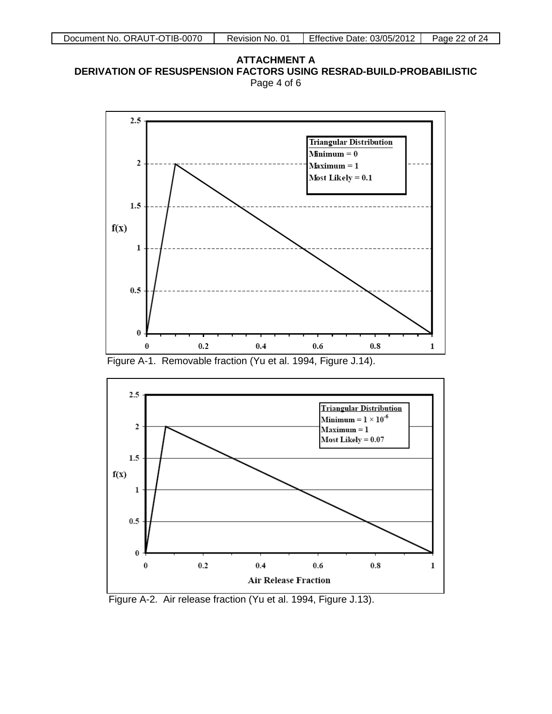**ATTACHMENT A DERIVATION OF RESUSPENSION FACTORS USING RESRAD-BUILD-PROBABILISTIC** Page 4 of 6



Figure A-1. Removable fraction (Yu et al. 1994, Figure J.14).



Figure A-2. Air release fraction (Yu et al. 1994, Figure J.13).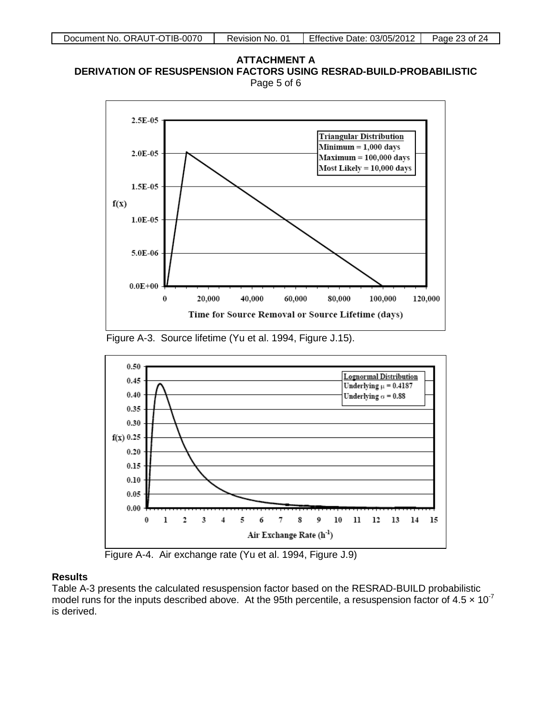







Figure A-4. Air exchange rate (Yu et al. 1994, Figure J.9)

### **Results**

Table A-3 presents the calculated resuspension factor based on the RESRAD-BUILD probabilistic model runs for the inputs described above. At the 95th percentile, a resuspension factor of 4.5  $\times$  10<sup>-7</sup> is derived.